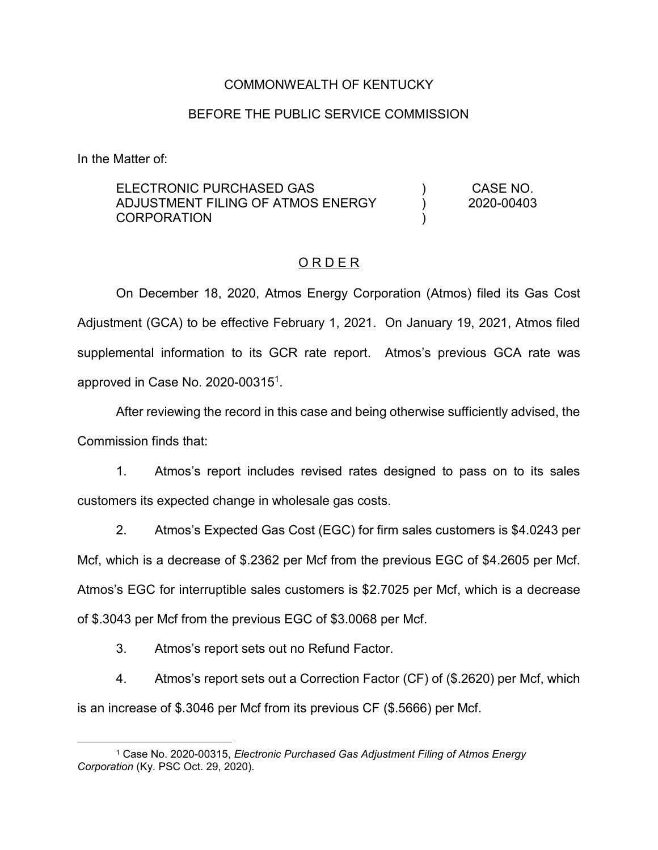## COMMONWEALTH OF KENTUCKY

#### BEFORE THE PUBLIC SERVICE COMMISSION

In the Matter of:

ELECTRONIC PURCHASED GAS ADJUSTMENT FILING OF ATMOS ENERGY **CORPORATION**  $\lambda$ ) ) CASE NO. 2020-00403

#### O R D E R

On December 18, 2020, Atmos Energy Corporation (Atmos) filed its Gas Cost Adjustment (GCA) to be effective February 1, 2021. On January 19, 2021, Atmos filed supplemental information to its GCR rate report. Atmos's previous GCA rate was approved in Case No. 2020-003151.

After reviewing the record in this case and being otherwise sufficiently advised, the Commission finds that:

1. Atmos's report includes revised rates designed to pass on to its sales customers its expected change in wholesale gas costs.

2. Atmos's Expected Gas Cost (EGC) for firm sales customers is \$4.0243 per Mcf, which is a decrease of \$.2362 per Mcf from the previous EGC of \$4.2605 per Mcf. Atmos's EGC for interruptible sales customers is \$2.7025 per Mcf, which is a decrease of \$.3043 per Mcf from the previous EGC of \$3.0068 per Mcf.

3. Atmos's report sets out no Refund Factor.

4. Atmos's report sets out a Correction Factor (CF) of (\$.2620) per Mcf, which is an increase of \$.3046 per Mcf from its previous CF (\$.5666) per Mcf.

 <sup>1</sup> Case No. 2020-00315, *Electronic Purchased Gas Adjustment Filing of Atmos Energy Corporation* (Ky. PSC Oct. 29, 2020).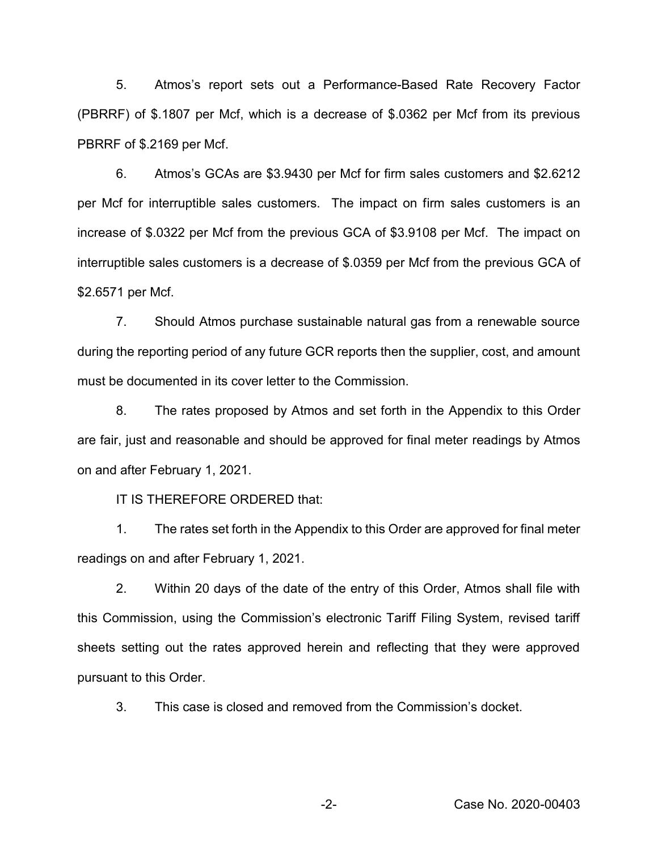5. Atmos's report sets out a Performance-Based Rate Recovery Factor (PBRRF) of \$.1807 per Mcf, which is a decrease of \$.0362 per Mcf from its previous PBRRF of \$.2169 per Mcf.

6. Atmos's GCAs are \$3.9430 per Mcf for firm sales customers and \$2.6212 per Mcf for interruptible sales customers. The impact on firm sales customers is an increase of \$.0322 per Mcf from the previous GCA of \$3.9108 per Mcf. The impact on interruptible sales customers is a decrease of \$.0359 per Mcf from the previous GCA of \$2.6571 per Mcf.

7. Should Atmos purchase sustainable natural gas from a renewable source during the reporting period of any future GCR reports then the supplier, cost, and amount must be documented in its cover letter to the Commission.

8. The rates proposed by Atmos and set forth in the Appendix to this Order are fair, just and reasonable and should be approved for final meter readings by Atmos on and after February 1, 2021.

IT IS THEREFORE ORDERED that:

1. The rates set forth in the Appendix to this Order are approved for final meter readings on and after February 1, 2021.

2. Within 20 days of the date of the entry of this Order, Atmos shall file with this Commission, using the Commission's electronic Tariff Filing System, revised tariff sheets setting out the rates approved herein and reflecting that they were approved pursuant to this Order.

3. This case is closed and removed from the Commission's docket.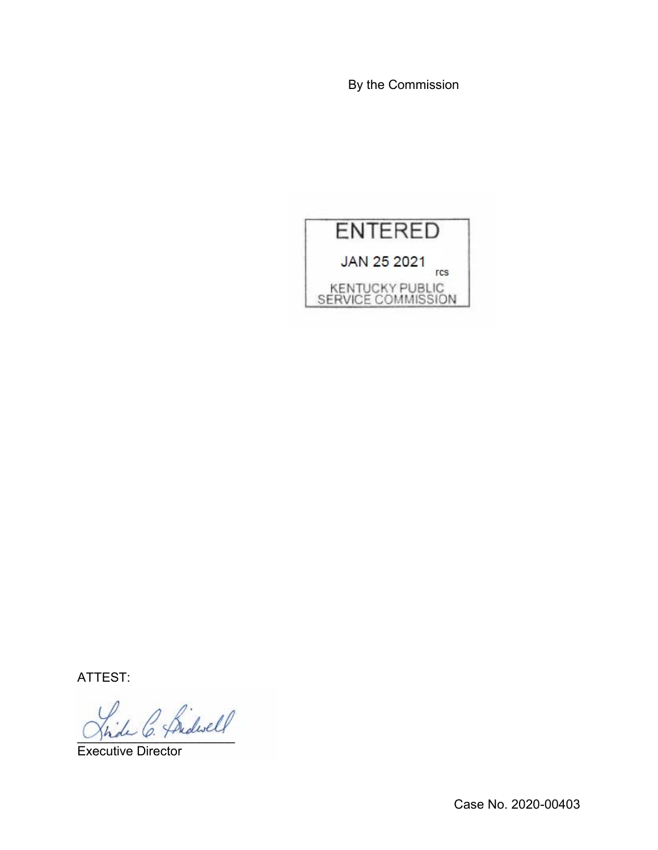By the Commission



ATTEST:

L C. Pridwell

Executive Director

Case No. 2020-00403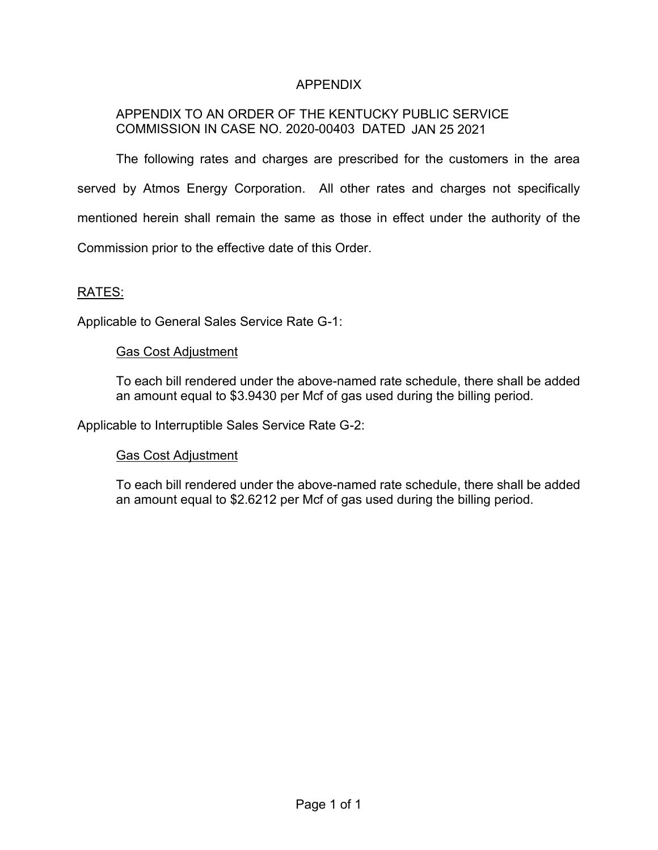# APPENDIX

# APPENDIX TO AN ORDER OF THE KENTUCKY PUBLIC SERVICE COMMISSION IN CASE NO. 2020-00403 DATED JAN 25 2021

The following rates and charges are prescribed for the customers in the area served by Atmos Energy Corporation. All other rates and charges not specifically mentioned herein shall remain the same as those in effect under the authority of the Commission prior to the effective date of this Order.

### RATES:

Applicable to General Sales Service Rate G-1:

#### Gas Cost Adjustment

To each bill rendered under the above-named rate schedule, there shall be added an amount equal to \$3.9430 per Mcf of gas used during the billing period.

Applicable to Interruptible Sales Service Rate G-2:

## Gas Cost Adjustment

To each bill rendered under the above-named rate schedule, there shall be added an amount equal to \$2.6212 per Mcf of gas used during the billing period.